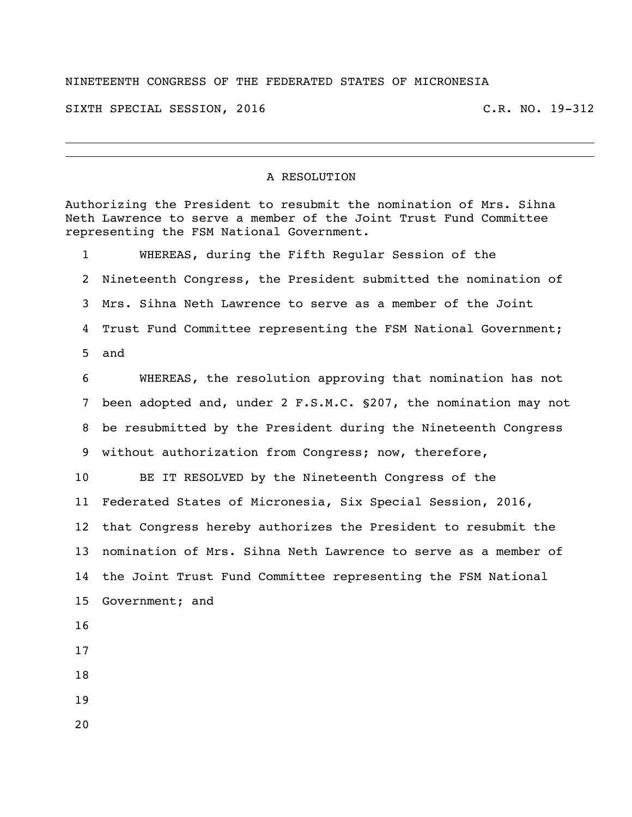## NINETEENTH CONGRESS OF THE FEDERATED STATES OF MICRONESIA

SIXTH SPECIAL SESSION, 2016 C.R. NO. 19-312

## A RESOLUTION

Authorizing the President to resubmit the nomination of Mrs. Sihna Neth Lawrence to serve a member of the Joint Trust Fund Committee representing the FSM National Government. WHEREAS, during the Fifth Regular Session of the Nineteenth Congress, the President submitted the nomination of Mrs. Sihna Neth Lawrence to serve as a member of the Joint Trust Fund Committee representing the FSM National Government; and WHEREAS, the resolution approving that nomination has not been adopted and, under 2 F.S.M.C. §207, the nomination may not be resubmitted by the President during the Nineteenth Congress without authorization from Congress; now, therefore, BE IT RESOLVED by the Nineteenth Congress of the Federated States of Micronesia, Six Special Session, 2016, that Congress hereby authorizes the President to resubmit the nomination of Mrs. Sihna Neth Lawrence to serve as a member of the Joint Trust Fund Committee representing the FSM National Government; and